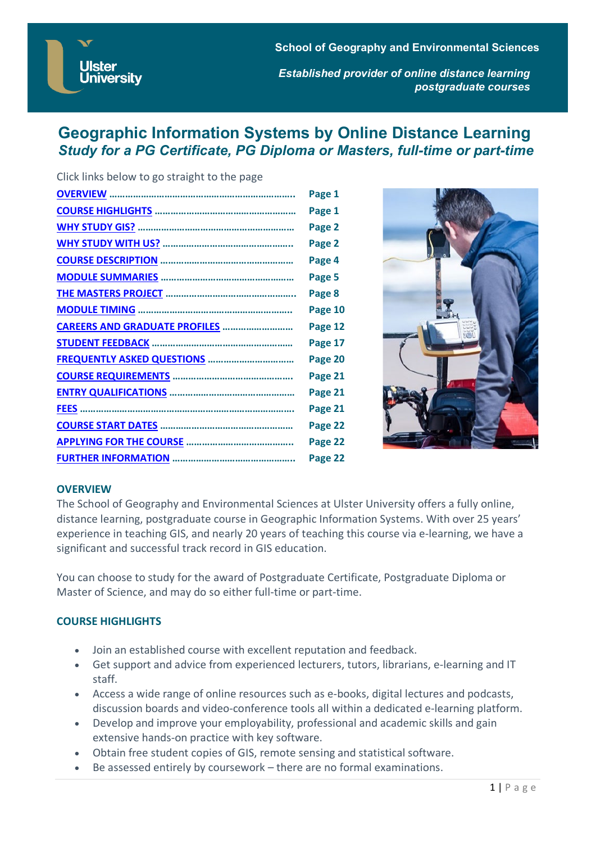**Ulster University** 

**School of Geography and Environmental Sciences** *Established provider of online distance learning postgraduate courses*

# **Geographic Information Systems by Online Distance Learning** *Study for a PG Certificate, PG Diploma or Masters, full-time or part-time*

| Click links below to go straight to the page |         |
|----------------------------------------------|---------|
|                                              | Page 1  |
|                                              | Page 1  |
|                                              | Page 2  |
|                                              | Page 2  |
|                                              | Page 4  |
|                                              | Page 5  |
|                                              | Page 8  |
|                                              | Page 10 |
| CAREERS AND GRADUATE PROFILES                | Page 12 |
|                                              | Page 17 |
| <b>FREQUENTLY ASKED QUESTIONS </b>           | Page 20 |
|                                              | Page 21 |
|                                              | Page 21 |
|                                              | Page 21 |
|                                              | Page 22 |
|                                              | Page 22 |
|                                              | Page 22 |



### <span id="page-0-0"></span>**OVERVIEW**

The School of Geography and Environmental Sciences at Ulster University offers a fully online, distance learning, postgraduate course in Geographic Information Systems. With over 25 years' experience in teaching GIS, and nearly 20 years of teaching this course via e-learning, we have a significant and successful track record in GIS education.

You can choose to study for the award of Postgraduate Certificate, Postgraduate Diploma or Master of Science, and may do so either full-time or part-time.

### <span id="page-0-1"></span>**COURSE HIGHLIGHTS**

- Join an established course with excellent reputation and feedback.
- Get support and advice from experienced lecturers, tutors, librarians, e-learning and IT staff.
- Access a wide range of online resources such as e-books, digital lectures and podcasts, discussion boards and video-conference tools all within a dedicated e-learning platform.
- Develop and improve your employability, professional and academic skills and gain extensive hands-on practice with key software.
- Obtain free student copies of GIS, remote sensing and statistical software.
- Be assessed entirely by coursework there are no formal examinations.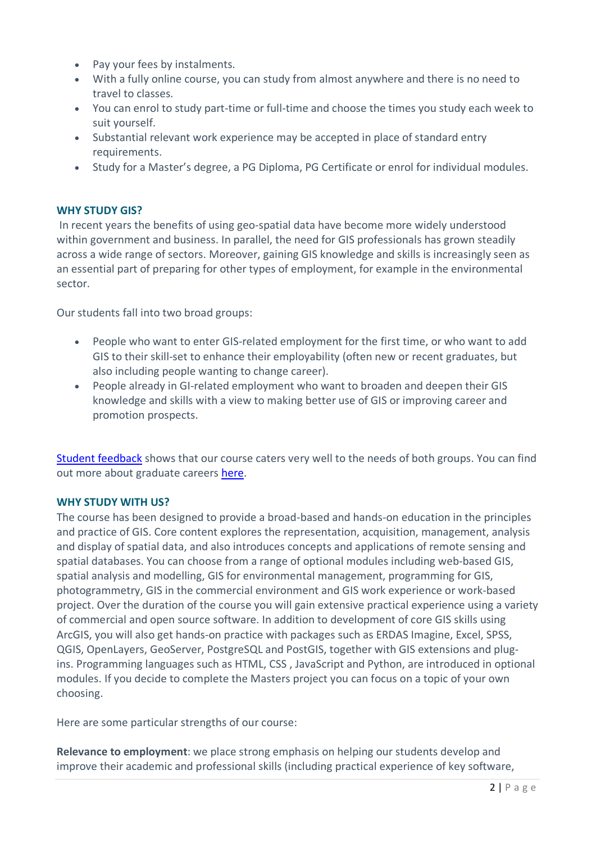- Pay your fees by instalments.
- With a fully online course, you can study from almost anywhere and there is no need to travel to classes.
- You can enrol to study part-time or full-time and choose the times you study each week to suit yourself.
- Substantial relevant work experience may be accepted in place of standard entry requirements.
- Study for a Master's degree, a PG Diploma, PG Certificate or enrol for individual modules.

# <span id="page-1-0"></span>**WHY STUDY GIS?**

In recent years the benefits of using geo-spatial data have become more widely understood within government and business. In parallel, the need for GIS professionals has grown steadily across a wide range of sectors. Moreover, gaining GIS knowledge and skills is increasingly seen as an essential part of preparing for other types of employment, for example in the environmental sector.

Our students fall into two broad groups:

- People who want to enter GIS-related employment for the first time, or who want to add GIS to their skill-set to enhance their employability (often new or recent graduates, but also including people wanting to change career).
- People already in GI-related employment who want to broaden and deepen their GIS knowledge and skills with a view to making better use of GIS or improving career and promotion prospects.

[Student feedback](#page-16-0) shows that our course caters very well to the needs of both groups. You can find out more about graduate careers [here.](#page-11-0)

# <span id="page-1-1"></span>**WHY STUDY WITH US?**

The course has been designed to provide a broad-based and hands-on education in the principles and practice of GIS. Core content explores the representation, acquisition, management, analysis and display of spatial data, and also introduces concepts and applications of remote sensing and spatial databases. You can choose from a range of optional modules including web-based GIS, spatial analysis and modelling, GIS for environmental management, programming for GIS, photogrammetry, GIS in the commercial environment and GIS work experience or work-based project. Over the duration of the course you will gain extensive practical experience using a variety of commercial and open source software. In addition to development of core GIS skills using ArcGIS, you will also get hands-on practice with packages such as ERDAS Imagine, Excel, SPSS, QGIS, OpenLayers, GeoServer, PostgreSQL and PostGIS, together with GIS extensions and plugins. Programming languages such as HTML, CSS , JavaScript and Python, are introduced in optional modules. If you decide to complete the Masters project you can focus on a topic of your own choosing.

Here are some particular strengths of our course:

**Relevance to employment**: we place strong emphasis on helping our students develop and improve their academic and professional skills (including practical experience of key software,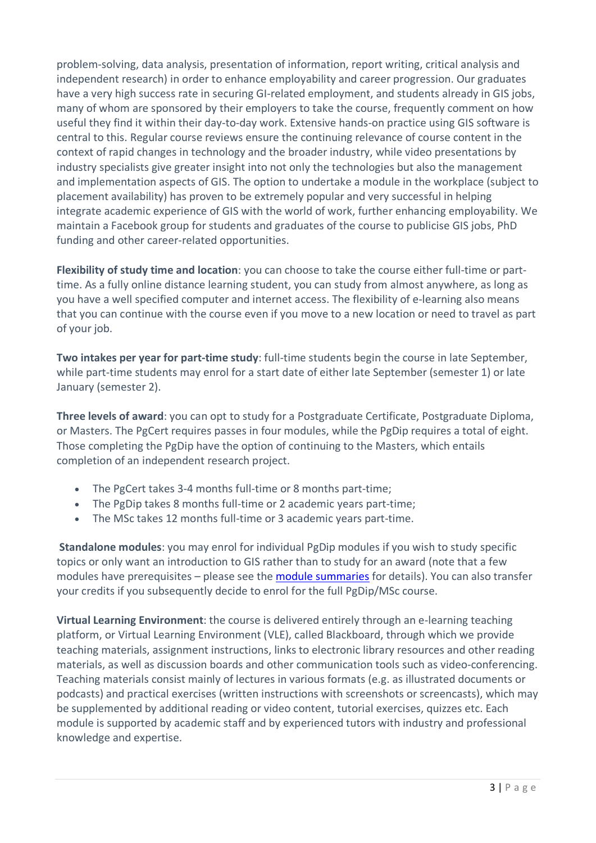problem-solving, data analysis, presentation of information, report writing, critical analysis and independent research) in order to enhance employability and career progression. Our graduates have a very high success rate in securing GI-related employment, and students already in GIS jobs, many of whom are sponsored by their employers to take the course, frequently comment on how useful they find it within their day-to-day work. Extensive hands-on practice using GIS software is central to this. Regular course reviews ensure the continuing relevance of course content in the context of rapid changes in technology and the broader industry, while video presentations by industry specialists give greater insight into not only the technologies but also the management and implementation aspects of GIS. The option to undertake a module in the workplace (subject to placement availability) has proven to be extremely popular and very successful in helping integrate academic experience of GIS with the world of work, further enhancing employability. We maintain a Facebook group for students and graduates of the course to publicise GIS jobs, PhD funding and other career-related opportunities.

**Flexibility of study time and location**: you can choose to take the course either full-time or parttime. As a fully online distance learning student, you can study from almost anywhere, as long as you have a well specified computer and internet access. The flexibility of e-learning also means that you can continue with the course even if you move to a new location or need to travel as part of your job.

**Two intakes per year for part-time study**: full-time students begin the course in late September, while part-time students may enrol for a start date of either late September (semester 1) or late January (semester 2).

**Three levels of award**: you can opt to study for a Postgraduate Certificate, Postgraduate Diploma, or Masters. The PgCert requires passes in four modules, while the PgDip requires a total of eight. Those completing the PgDip have the option of continuing to the Masters, which entails completion of an independent research project.

- The PgCert takes 3-4 months full-time or 8 months part-time;
- The PgDip takes 8 months full-time or 2 academic years part-time;
- The MSc takes 12 months full-time or 3 academic years part-time.

**Standalone modules**: you may enrol for individual PgDip modules if you wish to study specific topics or only want an introduction to GIS rather than to study for an award (note that a few modules have prerequisites – please see the [module summaries](#page-4-0) for details). You can also transfer your credits if you subsequently decide to enrol for the full PgDip/MSc course.

**Virtual Learning Environment**: the course is delivered entirely through an e-learning teaching platform, or Virtual Learning Environment (VLE), called Blackboard, through which we provide teaching materials, assignment instructions, links to electronic library resources and other reading materials, as well as discussion boards and other communication tools such as video-conferencing. Teaching materials consist mainly of lectures in various formats (e.g. as illustrated documents or podcasts) and practical exercises (written instructions with screenshots or screencasts), which may be supplemented by additional reading or video content, tutorial exercises, quizzes etc. Each module is supported by academic staff and by experienced tutors with industry and professional knowledge and expertise.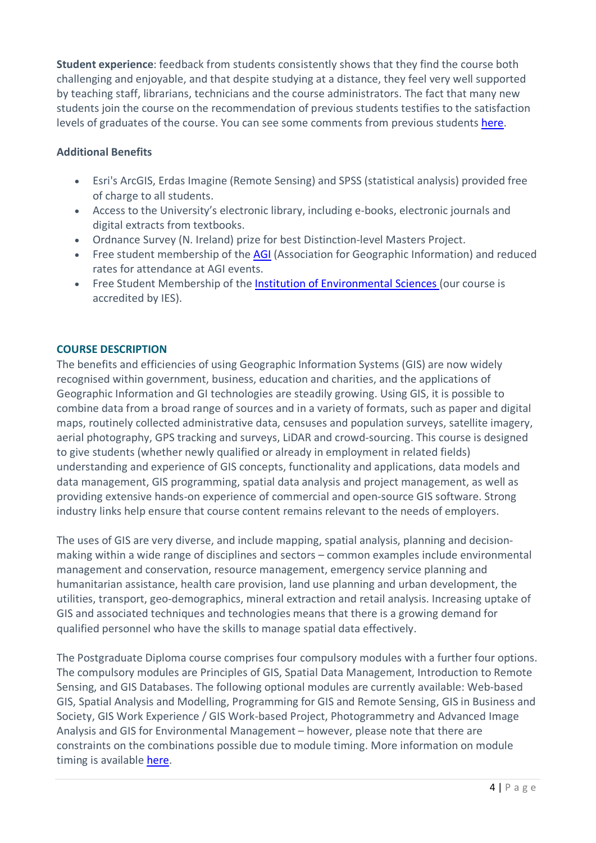**Student experience**: feedback from students consistently shows that they find the course both challenging and enjoyable, and that despite studying at a distance, they feel very well supported by teaching staff, librarians, technicians and the course administrators. The fact that many new students join the course on the recommendation of previous students testifies to the satisfaction levels of graduates of the course. You can see some comments from previous students [here.](#page-16-0)

# **Additional Benefits**

- Esri's ArcGIS, Erdas Imagine (Remote Sensing) and SPSS (statistical analysis) provided free of charge to all students.
- Access to the University's electronic library, including e-books, electronic journals and digital extracts from textbooks.
- Ordnance Survey (N. Ireland) prize for best Distinction-level Masters Project.
- Free student membership of the [AGI](http://www.agi.org.uk/) (Association for Geographic Information) and reduced rates for attendance at AGI events.
- Free Student Membership of the [Institution of Environmental Sciences](http://www.the-ies.org/) (our course is accredited by IES).

# <span id="page-3-0"></span>**COURSE DESCRIPTION**

The benefits and efficiencies of using Geographic Information Systems (GIS) are now widely recognised within government, business, education and charities, and the applications of Geographic Information and GI technologies are steadily growing. Using GIS, it is possible to combine data from a broad range of sources and in a variety of formats, such as paper and digital maps, routinely collected administrative data, censuses and population surveys, satellite imagery, aerial photography, GPS tracking and surveys, LiDAR and crowd-sourcing. This course is designed to give students (whether newly qualified or already in employment in related fields) understanding and experience of GIS concepts, functionality and applications, data models and data management, GIS programming, spatial data analysis and project management, as well as providing extensive hands-on experience of commercial and open-source GIS software. Strong industry links help ensure that course content remains relevant to the needs of employers.

The uses of GIS are very diverse, and include mapping, spatial analysis, planning and decisionmaking within a wide range of disciplines and sectors – common examples include environmental management and conservation, resource management, emergency service planning and humanitarian assistance, health care provision, land use planning and urban development, the utilities, transport, geo-demographics, mineral extraction and retail analysis. Increasing uptake of GIS and associated techniques and technologies means that there is a growing demand for qualified personnel who have the skills to manage spatial data effectively.

The Postgraduate Diploma course comprises four compulsory modules with a further four options. The compulsory modules are Principles of GIS, Spatial Data Management, Introduction to Remote Sensing, and GIS Databases. The following optional modules are currently available: Web-based GIS, Spatial Analysis and Modelling, Programming for GIS and Remote Sensing, GIS in Business and Society, GIS Work Experience / GIS Work-based Project, Photogrammetry and Advanced Image Analysis and GIS for Environmental Management – however, please note that there are constraints on the combinations possible due to module timing. More information on module timing is available [here.](#page-9-0)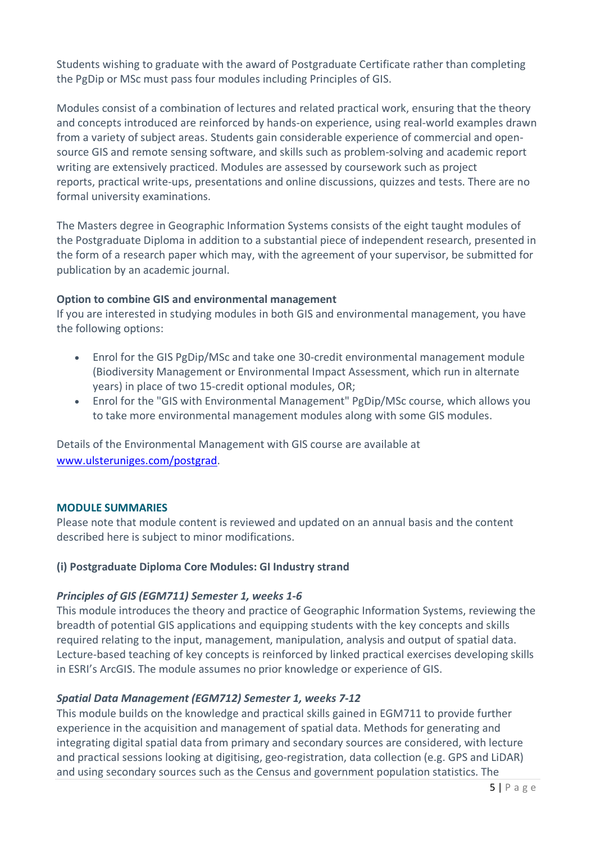Students wishing to graduate with the award of Postgraduate Certificate rather than completing the PgDip or MSc must pass four modules including Principles of GIS.

Modules consist of a combination of lectures and related practical work, ensuring that the theory and concepts introduced are reinforced by hands-on experience, using real-world examples drawn from a variety of subject areas. Students gain considerable experience of commercial and opensource GIS and remote sensing software, and skills such as problem-solving and academic report writing are extensively practiced. Modules are assessed by coursework such as project reports, practical write-ups, presentations and online discussions, quizzes and tests. There are no formal university examinations.

The Masters degree in Geographic Information Systems consists of the eight taught modules of the Postgraduate Diploma in addition to a substantial piece of independent research, presented in the form of a research paper which may, with the agreement of your supervisor, be submitted for publication by an academic journal.

# **Option to combine GIS and environmental management**

If you are interested in studying modules in both GIS and environmental management, you have the following options:

- Enrol for the GIS PgDip/MSc and take one 30-credit environmental management module (Biodiversity Management or Environmental Impact Assessment, which run in alternate years) in place of two 15-credit optional modules, OR;
- Enrol for the "GIS with Environmental Management" PgDip/MSc course, which allows you to take more environmental management modules along with some GIS modules.

Details of the Environmental Management with GIS course are available at [www.ulsteruniges.com/postgrad.](https://www.ulsteruniges.com/postgrad)

### <span id="page-4-0"></span>**MODULE SUMMARIES**

Please note that module content is reviewed and updated on an annual basis and the content described here is subject to minor modifications.

# **(i) Postgraduate Diploma Core Modules: GI Industry strand**

# *Principles of GIS (EGM711) Semester 1, weeks 1-6*

This module introduces the theory and practice of Geographic Information Systems, reviewing the breadth of potential GIS applications and equipping students with the key concepts and skills required relating to the input, management, manipulation, analysis and output of spatial data. Lecture-based teaching of key concepts is reinforced by linked practical exercises developing skills in ESRI's ArcGIS. The module assumes no prior knowledge or experience of GIS.

# *Spatial Data Management (EGM712) Semester 1, weeks 7-12*

This module builds on the knowledge and practical skills gained in EGM711 to provide further experience in the acquisition and management of spatial data. Methods for generating and integrating digital spatial data from primary and secondary sources are considered, with lecture and practical sessions looking at digitising, geo-registration, data collection (e.g. GPS and LiDAR) and using secondary sources such as the Census and government population statistics. The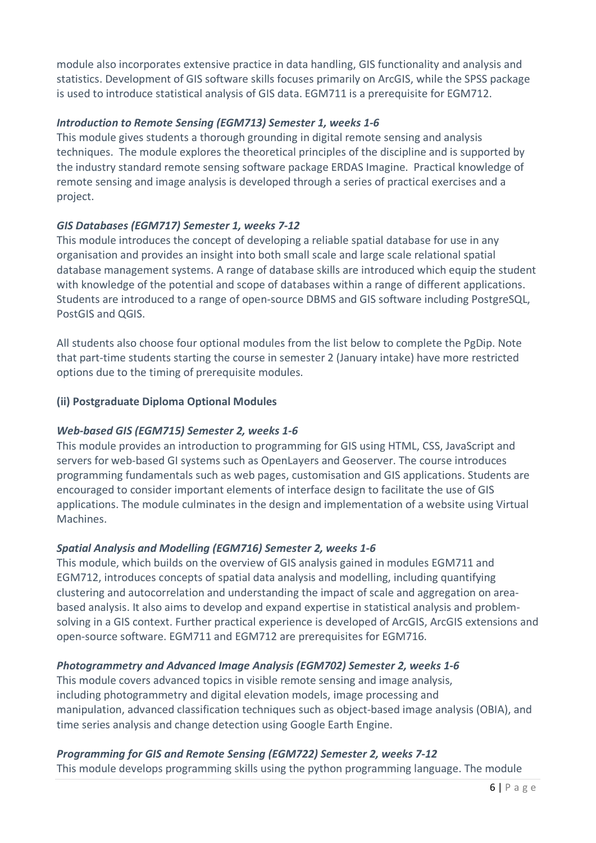module also incorporates extensive practice in data handling, GIS functionality and analysis and statistics. Development of GIS software skills focuses primarily on ArcGIS, while the SPSS package is used to introduce statistical analysis of GIS data. EGM711 is a prerequisite for EGM712.

# *Introduction to Remote Sensing (EGM713) Semester 1, weeks 1-6*

This module gives students a thorough grounding in digital remote sensing and analysis techniques. The module explores the theoretical principles of the discipline and is supported by the industry standard remote sensing software package ERDAS Imagine. Practical knowledge of remote sensing and image analysis is developed through a series of practical exercises and a project.

# *GIS Databases (EGM717) Semester 1, weeks 7-12*

This module introduces the concept of developing a reliable spatial database for use in any organisation and provides an insight into both small scale and large scale relational spatial database management systems. A range of database skills are introduced which equip the student with knowledge of the potential and scope of databases within a range of different applications. Students are introduced to a range of open-source DBMS and GIS software including PostgreSQL, PostGIS and QGIS.

All students also choose four optional modules from the list below to complete the PgDip. Note that part-time students starting the course in semester 2 (January intake) have more restricted options due to the timing of prerequisite modules.

# **(ii) Postgraduate Diploma Optional Modules**

### *Web-based GIS (EGM715) Semester 2, weeks 1-6*

This module provides an introduction to programming for GIS using HTML, CSS, JavaScript and servers for web-based GI systems such as OpenLayers and Geoserver. The course introduces programming fundamentals such as web pages, customisation and GIS applications. Students are encouraged to consider important elements of interface design to facilitate the use of GIS applications. The module culminates in the design and implementation of a website using Virtual Machines.

### *Spatial Analysis and Modelling (EGM716) Semester 2, weeks 1-6*

This module, which builds on the overview of GIS analysis gained in modules EGM711 and EGM712, introduces concepts of spatial data analysis and modelling, including quantifying clustering and autocorrelation and understanding the impact of scale and aggregation on areabased analysis. It also aims to develop and expand expertise in statistical analysis and problemsolving in a GIS context. Further practical experience is developed of ArcGIS, ArcGIS extensions and open-source software. EGM711 and EGM712 are prerequisites for EGM716.

# *Photogrammetry and Advanced Image Analysis (EGM702) Semester 2, weeks 1-6*

This module covers advanced topics in visible remote sensing and image analysis, including photogrammetry and digital elevation models, image processing and manipulation, advanced classification techniques such as object-based image analysis (OBIA), and time series analysis and change detection using Google Earth Engine.

# *Programming for GIS and Remote Sensing (EGM722) Semester 2, weeks 7-12*

This module develops programming skills using the python programming language. The module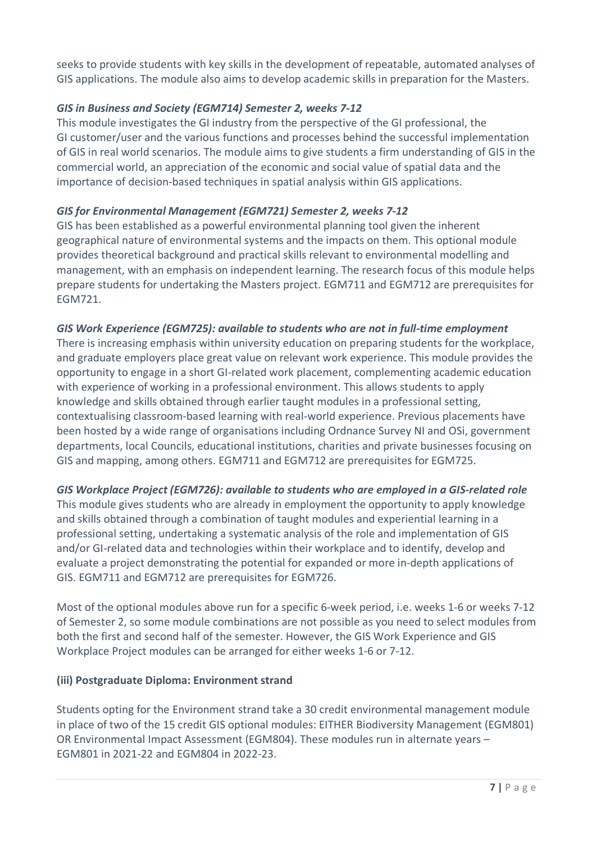seeks to provide students with key skills in the development of repeatable, automated analyses of GIS applications. The module also aims to develop academic skills in preparation for the Masters.

# *GIS in Business and Society (EGM714) Semester 2, weeks 7-12*

This module investigates the GI industry from the perspective of the GI professional, the GI customer/user and the various functions and processes behind the successful implementation of GIS in real world scenarios. The module aims to give students a firm understanding of GIS in the commercial world, an appreciation of the economic and social value of spatial data and the importance of decision-based techniques in spatial analysis within GIS applications.

# *GIS for Environmental Management (EGM721) Semester 2, weeks 7-12*

GIS has been established as a powerful environmental planning tool given the inherent geographical nature of environmental systems and the impacts on them. This optional module provides theoretical background and practical skills relevant to environmental modelling and management, with an emphasis on independent learning. The research focus of this module helps prepare students for undertaking the Masters project. EGM711 and EGM712 are prerequisites for EGM721.

# *GIS Work Experience (EGM725): available to students who are not in full-time employment*

There is increasing emphasis within university education on preparing students for the workplace, and graduate employers place great value on relevant work experience. This module provides the opportunity to engage in a short GI-related work placement, complementing academic education with experience of working in a professional environment. This allows students to apply knowledge and skills obtained through earlier taught modules in a professional setting, contextualising classroom-based learning with real-world experience. Previous placements have been hosted by a wide range of organisations including Ordnance Survey NI and OSi, government departments, local Councils, educational institutions, charities and private businesses focusing on GIS and mapping, among others. EGM711 and EGM712 are prerequisites for EGM725.

# *GIS Workplace Project (EGM726): available to students who are employed in a GIS-related role*

This module gives students who are already in employment the opportunity to apply knowledge and skills obtained through a combination of taught modules and experiential learning in a professional setting, undertaking a systematic analysis of the role and implementation of GIS and/or GI-related data and technologies within their workplace and to identify, develop and evaluate a project demonstrating the potential for expanded or more in-depth applications of GIS. EGM711 and EGM712 are prerequisites for EGM726.

Most of the optional modules above run for a specific 6-week period, i.e. weeks 1-6 or weeks 7-12 of Semester 2, so some module combinations are not possible as you need to select modules from both the first and second half of the semester. However, the GIS Work Experience and GIS Workplace Project modules can be arranged for either weeks 1-6 or 7-12.

# **(iii) Postgraduate Diploma: Environment strand**

Students opting for the Environment strand take a 30 credit environmental management module in place of two of the 15 credit GIS optional modules: EITHER Biodiversity Management (EGM801) OR Environmental Impact Assessment (EGM804). These modules run in alternate years – EGM801 in 2021-22 and EGM804 in 2022-23.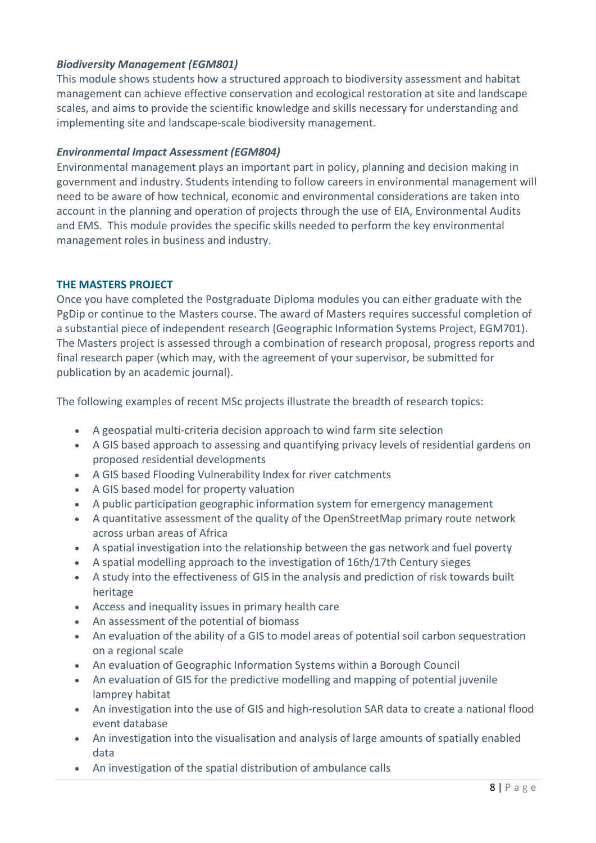# *Biodiversity Management (EGM801)*

This module shows students how a structured approach to biodiversity assessment and habitat management can achieve effective conservation and ecological restoration at site and landscape scales, and aims to provide the scientific knowledge and skills necessary for understanding and implementing site and landscape-scale biodiversity management.

# *Environmental Impact Assessment (EGM804)*

Environmental management plays an important part in policy, planning and decision making in government and industry. Students intending to follow careers in environmental management will need to be aware of how technical, economic and environmental considerations are taken into account in the planning and operation of projects through the use of EIA, Environmental Audits and EMS. This module provides the specific skills needed to perform the key environmental management roles in business and industry.

# <span id="page-7-0"></span>**THE MASTERS PROJECT**

Once you have completed the Postgraduate Diploma modules you can either graduate with the PgDip or continue to the Masters course. The award of Masters requires successful completion of a substantial piece of independent research (Geographic Information Systems Project, EGM701). The Masters project is assessed through a combination of research proposal, progress reports and final research paper (which may, with the agreement of your supervisor, be submitted for publication by an academic journal).

The following examples of recent MSc projects illustrate the breadth of research topics:

- A geospatial multi-criteria decision approach to wind farm site selection
- A GIS based approach to assessing and quantifying privacy levels of residential gardens on proposed residential developments
- A GIS based Flooding Vulnerability Index for river catchments
- A GIS based model for property valuation
- A public participation geographic information system for emergency management
- A quantitative assessment of the quality of the OpenStreetMap primary route network across urban areas of Africa
- A spatial investigation into the relationship between the gas network and fuel poverty
- A spatial modelling approach to the investigation of 16th/17th Century sieges
- A study into the effectiveness of GIS in the analysis and prediction of risk towards built heritage
- Access and inequality issues in primary health care
- An assessment of the potential of biomass
- An evaluation of the ability of a GIS to model areas of potential soil carbon sequestration on a regional scale
- An evaluation of Geographic Information Systems within a Borough Council
- An evaluation of GIS for the predictive modelling and mapping of potential juvenile lamprey habitat
- An investigation into the use of GIS and high-resolution SAR data to create a national flood event database
- An investigation into the visualisation and analysis of large amounts of spatially enabled data
- An investigation of the spatial distribution of ambulance calls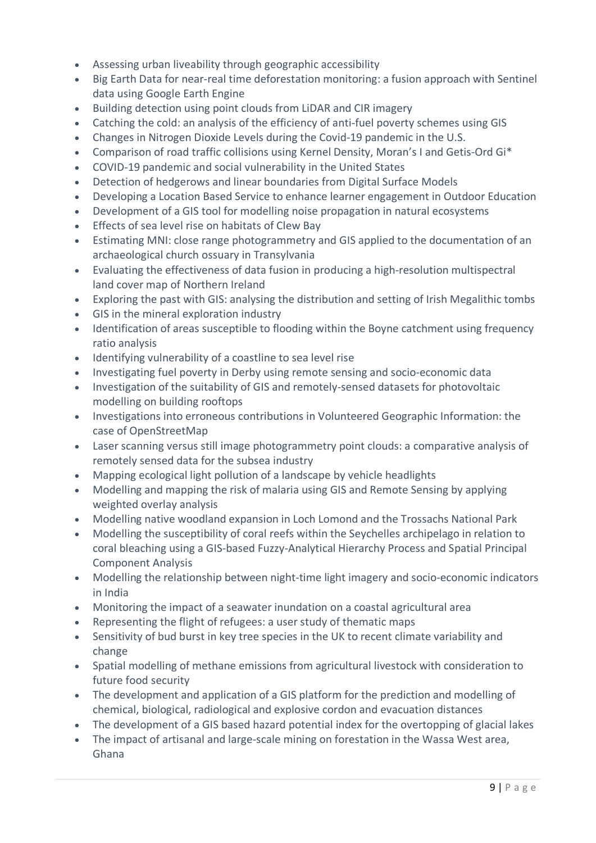- Assessing urban liveability through geographic accessibility
- Big Earth Data for near-real time deforestation monitoring: a fusion approach with Sentinel data using Google Earth Engine
- Building detection using point clouds from LiDAR and CIR imagery
- Catching the cold: an analysis of the efficiency of anti-fuel poverty schemes using GIS
- Changes in Nitrogen Dioxide Levels during the Covid-19 pandemic in the U.S.
- Comparison of road traffic collisions using Kernel Density, Moran's I and Getis-Ord Gi\*
- COVID-19 pandemic and social vulnerability in the United States
- Detection of hedgerows and linear boundaries from Digital Surface Models
- Developing a Location Based Service to enhance learner engagement in Outdoor Education
- Development of a GIS tool for modelling noise propagation in natural ecosystems
- Effects of sea level rise on habitats of Clew Bay
- Estimating MNI: close range photogrammetry and GIS applied to the documentation of an archaeological church ossuary in Transylvania
- Evaluating the effectiveness of data fusion in producing a high-resolution multispectral land cover map of Northern Ireland
- Exploring the past with GIS: analysing the distribution and setting of Irish Megalithic tombs
- GIS in the mineral exploration industry
- Identification of areas susceptible to flooding within the Boyne catchment using frequency ratio analysis
- Identifying vulnerability of a coastline to sea level rise
- Investigating fuel poverty in Derby using remote sensing and socio-economic data
- Investigation of the suitability of GIS and remotely-sensed datasets for photovoltaic modelling on building rooftops
- Investigations into erroneous contributions in Volunteered Geographic Information: the case of OpenStreetMap
- Laser scanning versus still image photogrammetry point clouds: a comparative analysis of remotely sensed data for the subsea industry
- Mapping ecological light pollution of a landscape by vehicle headlights
- Modelling and mapping the risk of malaria using GIS and Remote Sensing by applying weighted overlay analysis
- Modelling native woodland expansion in Loch Lomond and the Trossachs National Park
- Modelling the susceptibility of coral reefs within the Seychelles archipelago in relation to coral bleaching using a GIS-based Fuzzy-Analytical Hierarchy Process and Spatial Principal Component Analysis
- Modelling the relationship between night-time light imagery and socio-economic indicators in India
- Monitoring the impact of a seawater inundation on a coastal agricultural area
- Representing the flight of refugees: a user study of thematic maps
- Sensitivity of bud burst in key tree species in the UK to recent climate variability and change
- Spatial modelling of methane emissions from agricultural livestock with consideration to future food security
- The development and application of a GIS platform for the prediction and modelling of chemical, biological, radiological and explosive cordon and evacuation distances
- The development of a GIS based hazard potential index for the overtopping of glacial lakes
- The impact of artisanal and large-scale mining on forestation in the Wassa West area, Ghana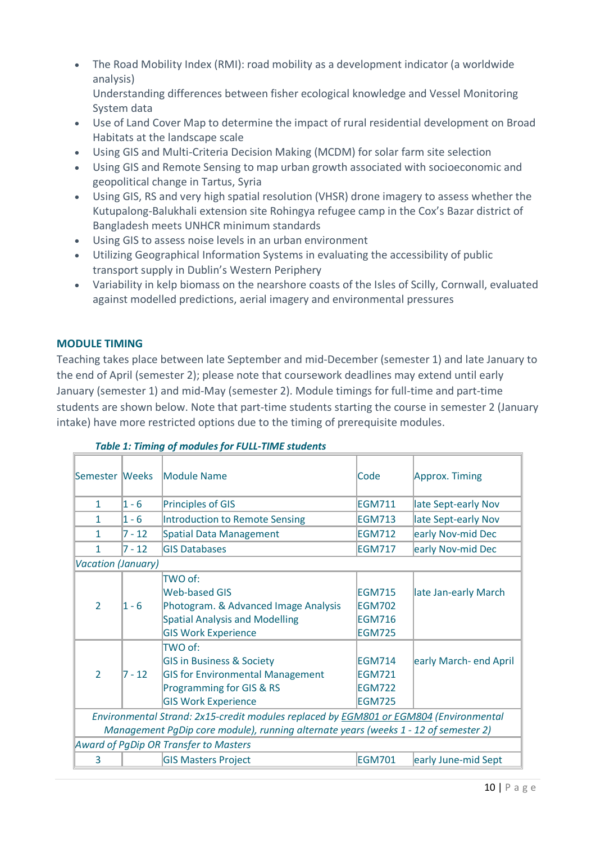• The Road Mobility Index (RMI): road mobility as a development indicator (a worldwide analysis)

Understanding differences between fisher ecological knowledge and Vessel Monitoring System data

- Use of Land Cover Map to determine the impact of rural residential development on Broad Habitats at the landscape scale
- Using GIS and Multi-Criteria Decision Making (MCDM) for solar farm site selection
- Using GIS and Remote Sensing to map urban growth associated with socioeconomic and geopolitical change in Tartus, Syria
- Using GIS, RS and very high spatial resolution (VHSR) drone imagery to assess whether the Kutupalong-Balukhali extension site Rohingya refugee camp in the Cox's Bazar district of Bangladesh meets UNHCR minimum standards
- Using GIS to assess noise levels in an urban environment
- Utilizing Geographical Information Systems in evaluating the accessibility of public transport supply in Dublin's Western Periphery
- Variability in kelp biomass on the nearshore coasts of the Isles of Scilly, Cornwall, evaluated against modelled predictions, aerial imagery and environmental pressures

# <span id="page-9-0"></span>**MODULE TIMING**

Teaching takes place between late September and mid-December (semester 1) and late January to the end of April (semester 2); please note that coursework deadlines may extend until early January (semester 1) and mid-May (semester 2). Module timings for full-time and part-time students are shown below. Note that part-time students starting the course in semester 2 (January intake) have more restricted options due to the timing of prerequisite modules.

| Semester Weeks                                                                               |          | Module Name                             | <b>Code</b>   | Approx. Timing         |
|----------------------------------------------------------------------------------------------|----------|-----------------------------------------|---------------|------------------------|
| 1                                                                                            | 1 - 6    | <b>Principles of GIS</b>                | <b>EGM711</b> | late Sept-early Nov    |
| $\mathbf{1}$                                                                                 | $1 - 6$  | Introduction to Remote Sensing          | <b>EGM713</b> | late Sept-early Nov    |
| 1                                                                                            | $7 - 12$ | Spatial Data Management                 | <b>EGM712</b> | early Nov-mid Dec      |
| $\mathbf{1}$                                                                                 | $7 - 12$ | <b>GIS Databases</b>                    | <b>EGM717</b> | early Nov-mid Dec      |
| <b>Vacation (January)</b>                                                                    |          |                                         |               |                        |
|                                                                                              |          | TWO of:                                 |               |                        |
|                                                                                              |          | Web-based GIS                           | <b>EGM715</b> | late Jan-early March   |
| $\overline{2}$                                                                               | $1 - 6$  | Photogram. & Advanced Image Analysis    | <b>EGM702</b> |                        |
|                                                                                              |          | <b>Spatial Analysis and Modelling</b>   | <b>EGM716</b> |                        |
|                                                                                              |          | <b>GIS Work Experience</b>              | <b>EGM725</b> |                        |
|                                                                                              |          | TWO of:                                 |               |                        |
|                                                                                              |          | <b>GIS in Business &amp; Society</b>    | <b>EGM714</b> | early March- end April |
| $\overline{2}$                                                                               | $7 - 12$ | <b>GIS for Environmental Management</b> | <b>EGM721</b> |                        |
|                                                                                              |          | Programming for GIS & RS                | <b>EGM722</b> |                        |
|                                                                                              |          | <b>GIS Work Experience</b>              | <b>EGM725</b> |                        |
| Environmental Strand: 2x15-credit modules replaced by <b>EGM801 or EGM804</b> (Environmental |          |                                         |               |                        |
| Management PgDip core module), running alternate years (weeks 1 - 12 of semester 2)          |          |                                         |               |                        |
| Award of PgDip OR Transfer to Masters                                                        |          |                                         |               |                        |
| 3                                                                                            |          | <b>GIS Masters Project</b>              | <b>EGM701</b> | early June-mid Sept    |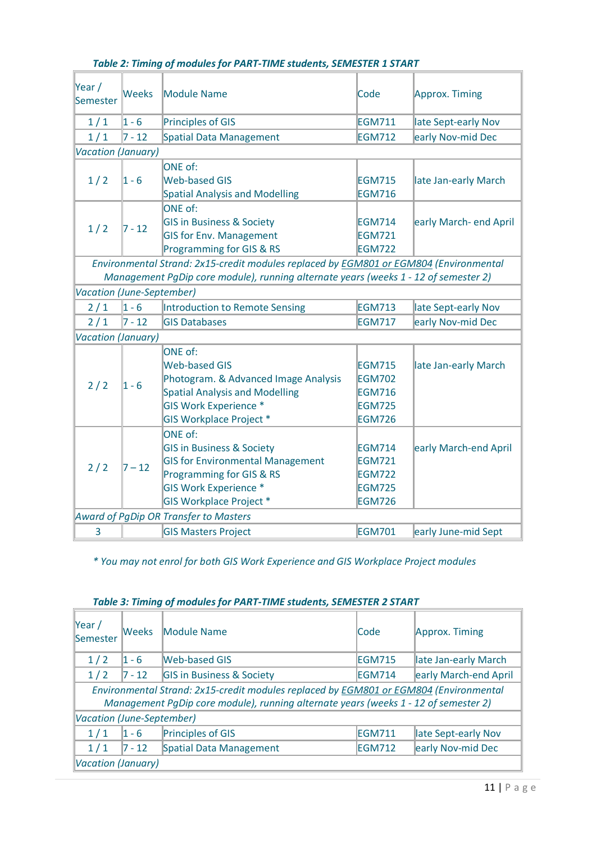| Year/<br>Semester                            | <b>Weeks</b> | <b>Module Name</b>                                                                    | Code          | Approx. Timing         |
|----------------------------------------------|--------------|---------------------------------------------------------------------------------------|---------------|------------------------|
| 1/1                                          | $1 - 6$      | <b>Principles of GIS</b>                                                              | <b>EGM711</b> | late Sept-early Nov    |
| 1/1                                          | $7 - 12$     | <b>Spatial Data Management</b>                                                        | <b>EGM712</b> | early Nov-mid Dec      |
| Vacation (January)                           |              |                                                                                       |               |                        |
|                                              | $1 - 6$      | ONE of:                                                                               |               |                        |
| 1/2                                          |              | <b>Web-based GIS</b>                                                                  | <b>EGM715</b> | late Jan-early March   |
|                                              |              | <b>Spatial Analysis and Modelling</b>                                                 | <b>EGM716</b> |                        |
|                                              |              | ONE of:                                                                               |               |                        |
|                                              | $7 - 12$     | <b>GIS in Business &amp; Society</b>                                                  | <b>EGM714</b> | early March- end April |
| 1/2                                          |              | <b>GIS for Env. Management</b>                                                        | <b>EGM721</b> |                        |
|                                              |              | Programming for GIS & RS                                                              | <b>EGM722</b> |                        |
|                                              |              | Environmental Strand: 2x15-credit modules replaced by EGM801 or EGM804 (Environmental |               |                        |
|                                              |              | Management PgDip core module), running alternate years (weeks 1 - 12 of semester 2)   |               |                        |
| Vacation (June-September)                    |              |                                                                                       |               |                        |
| 2/1                                          | $1 - 6$      | Introduction to Remote Sensing                                                        | <b>EGM713</b> | late Sept-early Nov    |
| 2/1                                          | $7 - 12$     | <b>GIS Databases</b>                                                                  | <b>EGM717</b> | early Nov-mid Dec      |
| <b>Vacation (January)</b>                    |              |                                                                                       |               |                        |
|                                              | $1 - 6$      | ONE of:                                                                               |               |                        |
|                                              |              | <b>Web-based GIS</b>                                                                  | <b>EGM715</b> | late Jan-early March   |
| 2/2                                          |              | Photogram. & Advanced Image Analysis                                                  | <b>EGM702</b> |                        |
|                                              |              | <b>Spatial Analysis and Modelling</b>                                                 | <b>EGM716</b> |                        |
|                                              |              | <b>GIS Work Experience *</b>                                                          | <b>EGM725</b> |                        |
|                                              |              | <b>GIS Workplace Project *</b>                                                        | <b>EGM726</b> |                        |
|                                              | $7 - 12$     | <b>ONE of:</b>                                                                        |               |                        |
|                                              |              | <b>GIS in Business &amp; Society</b>                                                  | <b>EGM714</b> | early March-end April  |
| 2/2                                          |              | <b>GIS for Environmental Management</b>                                               | <b>EGM721</b> |                        |
|                                              |              | Programming for GIS & RS                                                              | <b>EGM722</b> |                        |
|                                              |              | <b>GIS Work Experience *</b>                                                          | <b>EGM725</b> |                        |
|                                              |              | <b>GIS Workplace Project *</b>                                                        | <b>EGM726</b> |                        |
| <b>Award of PgDip OR Transfer to Masters</b> |              |                                                                                       |               |                        |
| 3                                            |              | <b>GIS Masters Project</b>                                                            | <b>EGM701</b> | early June-mid Sept    |

# *Table 2: Timing of modules for PART-TIME students, SEMESTER 1 START*

*\* You may not enrol for both GIS Work Experience and GIS Workplace Project modules* 

| $\forall$ ear /<br>Semester                                                           | lWeeks     | Module Name                          | Code          | Approx. Timing        |
|---------------------------------------------------------------------------------------|------------|--------------------------------------|---------------|-----------------------|
| 1/2                                                                                   | $ 1 - 6 $  | <b>Web-based GIS</b>                 | <b>EGM715</b> | late Jan-early March  |
| 1/2                                                                                   | $ 7 - 12 $ | <b>GIS in Business &amp; Society</b> | EGM714        | early March-end April |
| Environmental Strand: 2x15-credit modules replaced by EGM801 or EGM804 (Environmental |            |                                      |               |                       |
| Management PqDip core module), running alternate years (weeks 1 - 12 of semester 2)   |            |                                      |               |                       |
| Vacation (June-September)                                                             |            |                                      |               |                       |
| 1/1                                                                                   | $ 1 - 6 $  | Principles of GIS                    | EGM711        | late Sept-early Nov   |
| 1/1                                                                                   | $7 - 12$   | Spatial Data Management              | <b>EGM712</b> | early Nov-mid Dec     |
| Vacation (January)                                                                    |            |                                      |               |                       |

# *Table 3: Timing of modules for PART-TIME students, SEMESTER 2 START*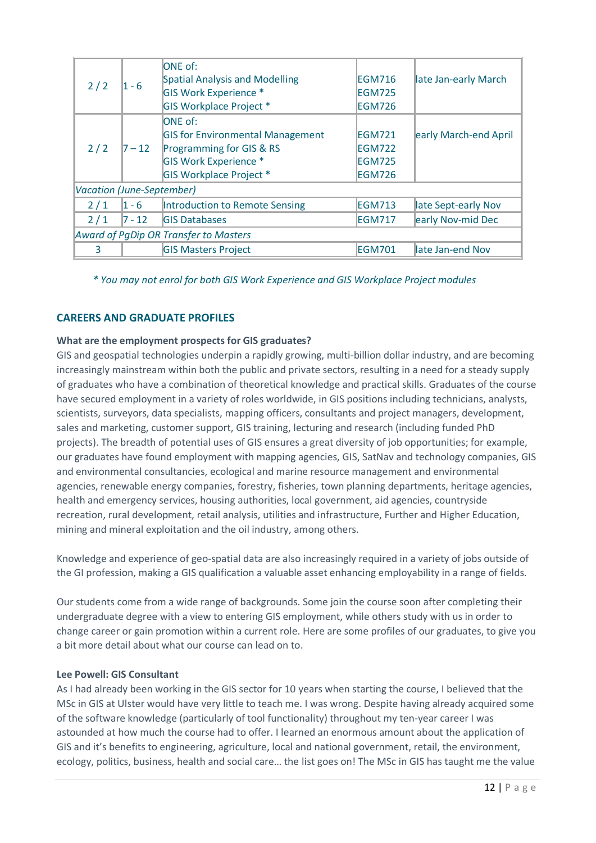|                                       |            | <b>ONE</b> of:                          |               |                       |
|---------------------------------------|------------|-----------------------------------------|---------------|-----------------------|
| 2/2                                   | $1 - 6$    | Spatial Analysis and Modelling          | <b>EGM716</b> | late Jan-early March  |
|                                       |            | <b>GIS Work Experience *</b>            | EGM725        |                       |
|                                       |            | <b>GIS Workplace Project *</b>          | <b>EGM726</b> |                       |
|                                       |            | <b>ONE</b> of:                          |               |                       |
| 2/2                                   | $7 - 12$   | <b>GIS for Environmental Management</b> | EGM721        | early March-end April |
|                                       |            | <b>Programming for GIS &amp; RS</b>     | <b>EGM722</b> |                       |
|                                       |            | <b>GIS Work Experience *</b>            | <b>EGM725</b> |                       |
|                                       |            | <b>GIS Workplace Project *</b>          | EGM726        |                       |
| <b>Vacation (June-September)</b>      |            |                                         |               |                       |
| 2/1                                   | $ 1 - 6 $  | Introduction to Remote Sensing          | <b>EGM713</b> | late Sept-early Nov   |
| 2/1                                   | $ 7 - 12 $ | <b>GIS Databases</b>                    | <b>EGM717</b> | early Nov-mid Dec     |
| Award of PgDip OR Transfer to Masters |            |                                         |               |                       |
| 3                                     |            | <b>GIS Masters Project</b>              | <b>EGM701</b> | late Jan-end Nov      |

*\* You may not enrol for both GIS Work Experience and GIS Workplace Project modules* 

# <span id="page-11-0"></span>**CAREERS AND GRADUATE PROFILES**

#### **What are the employment prospects for GIS graduates?**

GIS and geospatial technologies underpin a rapidly growing, multi-billion dollar industry, and are becoming increasingly mainstream within both the public and private sectors, resulting in a need for a steady supply of graduates who have a combination of theoretical knowledge and practical skills. Graduates of the course have secured employment in a variety of roles worldwide, in GIS positions including technicians, analysts, scientists, surveyors, data specialists, mapping officers, consultants and project managers, development, sales and marketing, customer support, GIS training, lecturing and research (including funded PhD projects). The breadth of potential uses of GIS ensures a great diversity of job opportunities; for example, our graduates have found employment with mapping agencies, GIS, SatNav and technology companies, GIS and environmental consultancies, ecological and marine resource management and environmental agencies, renewable energy companies, forestry, fisheries, town planning departments, heritage agencies, health and emergency services, housing authorities, local government, aid agencies, countryside recreation, rural development, retail analysis, utilities and infrastructure, Further and Higher Education, mining and mineral exploitation and the oil industry, among others.

Knowledge and experience of geo-spatial data are also increasingly required in a variety of jobs outside of the GI profession, making a GIS qualification a valuable asset enhancing employability in a range of fields.

Our students come from a wide range of backgrounds. Some join the course soon after completing their undergraduate degree with a view to entering GIS employment, while others study with us in order to change career or gain promotion within a current role. Here are some profiles of our graduates, to give you a bit more detail about what our course can lead on to.

#### **Lee Powell: GIS Consultant**

As I had already been working in the GIS sector for 10 years when starting the course, I believed that the MSc in GIS at Ulster would have very little to teach me. I was wrong. Despite having already acquired some of the software knowledge (particularly of tool functionality) throughout my ten-year career I was astounded at how much the course had to offer. I learned an enormous amount about the application of GIS and it's benefits to engineering, agriculture, local and national government, retail, the environment, ecology, politics, business, health and social care… the list goes on! The MSc in GIS has taught me the value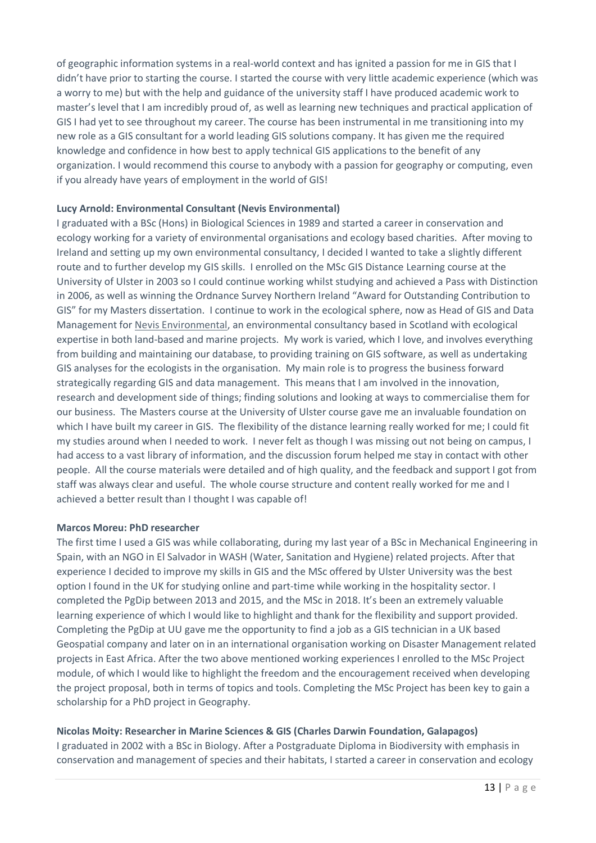of geographic information systems in a real-world context and has ignited a passion for me in GIS that I didn't have prior to starting the course. I started the course with very little academic experience (which was a worry to me) but with the help and guidance of the university staff I have produced academic work to master's level that I am incredibly proud of, as well as learning new techniques and practical application of GIS I had yet to see throughout my career. The course has been instrumental in me transitioning into my new role as a GIS consultant for a world leading GIS solutions company. It has given me the required knowledge and confidence in how best to apply technical GIS applications to the benefit of any organization. I would recommend this course to anybody with a passion for geography or computing, even if you already have years of employment in the world of GIS!

### **Lucy Arnold: Environmental Consultant (Nevis Environmental)**

I graduated with a BSc (Hons) in Biological Sciences in 1989 and started a career in conservation and ecology working for a variety of environmental organisations and ecology based charities. After moving to Ireland and setting up my own environmental consultancy, I decided I wanted to take a slightly different route and to further develop my GIS skills. I enrolled on the MSc GIS Distance Learning course at the University of Ulster in 2003 so I could continue working whilst studying and achieved a Pass with Distinction in 2006, as well as winning the Ordnance Survey Northern Ireland "Award for Outstanding Contribution to GIS" for my Masters dissertation. I continue to work in the ecological sphere, now as Head of GIS and Data Management for [Nevis Environmental,](http://www.nevisenvironmental.com/) an environmental consultancy based in Scotland with ecological expertise in both land-based and marine projects. My work is varied, which I love, and involves everything from building and maintaining our database, to providing training on GIS software, as well as undertaking GIS analyses for the ecologists in the organisation. My main role is to progress the business forward strategically regarding GIS and data management. This means that I am involved in the innovation, research and development side of things; finding solutions and looking at ways to commercialise them for our business. The Masters course at the University of Ulster course gave me an invaluable foundation on which I have built my career in GIS. The flexibility of the distance learning really worked for me; I could fit my studies around when I needed to work. I never felt as though I was missing out not being on campus, I had access to a vast library of information, and the discussion forum helped me stay in contact with other people. All the course materials were detailed and of high quality, and the feedback and support I got from staff was always clear and useful. The whole course structure and content really worked for me and I achieved a better result than I thought I was capable of!

#### **Marcos Moreu: PhD researcher**

The first time I used a GIS was while collaborating, during my last year of a BSc in Mechanical Engineering in Spain, with an NGO in El Salvador in WASH (Water, Sanitation and Hygiene) related projects. After that experience I decided to improve my skills in GIS and the MSc offered by Ulster University was the best option I found in the UK for studying online and part-time while working in the hospitality sector. I completed the PgDip between 2013 and 2015, and the MSc in 2018. It's been an extremely valuable learning experience of which I would like to highlight and thank for the flexibility and support provided. Completing the PgDip at UU gave me the opportunity to find a job as a GIS technician in a UK based Geospatial company and later on in an international organisation working on Disaster Management related projects in East Africa. After the two above mentioned working experiences I enrolled to the MSc Project module, of which I would like to highlight the freedom and the encouragement received when developing the project proposal, both in terms of topics and tools. Completing the MSc Project has been key to gain a scholarship for a PhD project in Geography.

### **Nicolas Moity: Researcher in Marine Sciences & GIS (Charles Darwin Foundation, Galapagos)**

I graduated in 2002 with a BSc in Biology. After a Postgraduate Diploma in Biodiversity with emphasis in conservation and management of species and their habitats, I started a career in conservation and ecology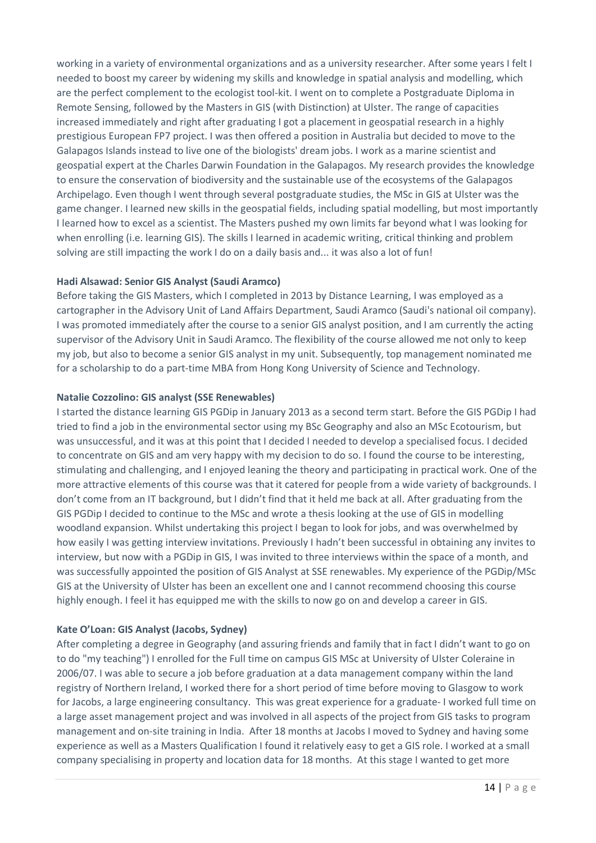working in a variety of environmental organizations and as a university researcher. After some years I felt I needed to boost my career by widening my skills and knowledge in spatial analysis and modelling, which are the perfect complement to the ecologist tool-kit. I went on to complete a Postgraduate Diploma in Remote Sensing, followed by the Masters in GIS (with Distinction) at Ulster. The range of capacities increased immediately and right after graduating I got a placement in geospatial research in a highly prestigious European FP7 project. I was then offered a position in Australia but decided to move to the Galapagos Islands instead to live one of the biologists' dream jobs. I work as a marine scientist and geospatial expert at the Charles Darwin Foundation in the Galapagos. My research provides the knowledge to ensure the conservation of biodiversity and the sustainable use of the ecosystems of the Galapagos Archipelago. Even though I went through several postgraduate studies, the MSc in GIS at Ulster was the game changer. I learned new skills in the geospatial fields, including spatial modelling, but most importantly I learned how to excel as a scientist. The Masters pushed my own limits far beyond what I was looking for when enrolling (i.e. learning GIS). The skills I learned in academic writing, critical thinking and problem solving are still impacting the work I do on a daily basis and... it was also a lot of fun!

#### **Hadi Alsawad: Senior GIS Analyst (Saudi Aramco)**

Before taking the GIS Masters, which I completed in 2013 by Distance Learning, I was employed as a cartographer in the Advisory Unit of Land Affairs Department, Saudi Aramco (Saudi's national oil company). I was promoted immediately after the course to a senior GIS analyst position, and I am currently the acting supervisor of the Advisory Unit in Saudi Aramco. The flexibility of the course allowed me not only to keep my job, but also to become a senior GIS analyst in my unit. Subsequently, top management nominated me for a scholarship to do a part-time MBA from Hong Kong University of Science and Technology.

#### **Natalie Cozzolino: GIS analyst (SSE Renewables)**

I started the distance learning GIS PGDip in January 2013 as a second term start. Before the GIS PGDip I had tried to find a job in the environmental sector using my BSc Geography and also an MSc Ecotourism, but was unsuccessful, and it was at this point that I decided I needed to develop a specialised focus. I decided to concentrate on GIS and am very happy with my decision to do so. I found the course to be interesting, stimulating and challenging, and I enjoyed leaning the theory and participating in practical work. One of the more attractive elements of this course was that it catered for people from a wide variety of backgrounds. I don't come from an IT background, but I didn't find that it held me back at all. After graduating from the GIS PGDip I decided to continue to the MSc and wrote a thesis looking at the use of GIS in modelling woodland expansion. Whilst undertaking this project I began to look for jobs, and was overwhelmed by how easily I was getting interview invitations. Previously I hadn't been successful in obtaining any invites to interview, but now with a PGDip in GIS, I was invited to three interviews within the space of a month, and was successfully appointed the position of GIS Analyst at SSE renewables. My experience of the PGDip/MSc GIS at the University of Ulster has been an excellent one and I cannot recommend choosing this course highly enough. I feel it has equipped me with the skills to now go on and develop a career in GIS.

#### **Kate O'Loan: GIS Analyst (Jacobs, Sydney)**

After completing a degree in Geography (and assuring friends and family that in fact I didn't want to go on to do "my teaching") I enrolled for the Full time on campus GIS MSc at University of Ulster Coleraine in 2006/07. I was able to secure a job before graduation at a data management company within the land registry of Northern Ireland, I worked there for a short period of time before moving to Glasgow to work for Jacobs, a large engineering consultancy. This was great experience for a graduate- I worked full time on a large asset management project and was involved in all aspects of the project from GIS tasks to program management and on-site training in India. After 18 months at Jacobs I moved to Sydney and having some experience as well as a Masters Qualification I found it relatively easy to get a GIS role. I worked at a small company specialising in property and location data for 18 months. At this stage I wanted to get more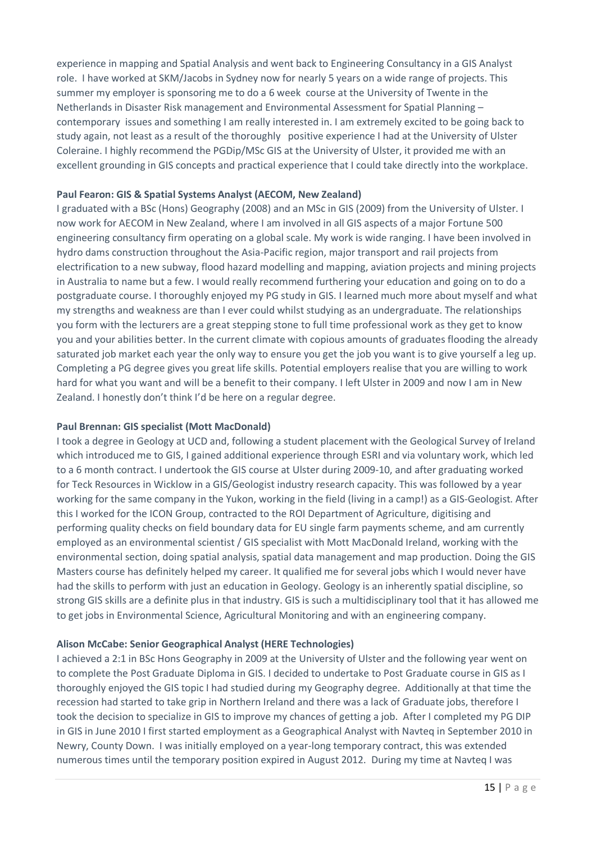experience in mapping and Spatial Analysis and went back to Engineering Consultancy in a GIS Analyst role. I have worked at SKM/Jacobs in Sydney now for nearly 5 years on a wide range of projects. This summer my employer is sponsoring me to do a 6 week course at the University of Twente in the Netherlands in Disaster Risk management and Environmental Assessment for Spatial Planning – contemporary issues and something I am really interested in. I am extremely excited to be going back to study again, not least as a result of the thoroughly positive experience I had at the University of Ulster Coleraine. I highly recommend the PGDip/MSc GIS at the University of Ulster, it provided me with an excellent grounding in GIS concepts and practical experience that I could take directly into the workplace.

#### **Paul Fearon: GIS & Spatial Systems Analyst (AECOM, New Zealand)**

I graduated with a BSc (Hons) Geography (2008) and an MSc in GIS (2009) from the University of Ulster. I now work for AECOM in New Zealand, where I am involved in all GIS aspects of a major Fortune 500 engineering consultancy firm operating on a global scale. My work is wide ranging. I have been involved in hydro dams construction throughout the Asia-Pacific region, major transport and rail projects from electrification to a new subway, flood hazard modelling and mapping, aviation projects and mining projects in Australia to name but a few. I would really recommend furthering your education and going on to do a postgraduate course. I thoroughly enjoyed my PG study in GIS. I learned much more about myself and what my strengths and weakness are than I ever could whilst studying as an undergraduate. The relationships you form with the lecturers are a great stepping stone to full time professional work as they get to know you and your abilities better. In the current climate with copious amounts of graduates flooding the already saturated job market each year the only way to ensure you get the job you want is to give yourself a leg up. Completing a PG degree gives you great life skills. Potential employers realise that you are willing to work hard for what you want and will be a benefit to their company. I left Ulster in 2009 and now I am in New Zealand. I honestly don't think I'd be here on a regular degree.

#### **Paul Brennan: GIS specialist (Mott MacDonald)**

I took a degree in Geology at UCD and, following a student placement with the Geological Survey of Ireland which introduced me to GIS, I gained additional experience through ESRI and via voluntary work, which led to a 6 month contract. I undertook the GIS course at Ulster during 2009-10, and after graduating worked for Teck Resources in Wicklow in a GIS/Geologist industry research capacity. This was followed by a year working for the same company in the Yukon, working in the field (living in a camp!) as a GIS-Geologist. After this I worked for the ICON Group, contracted to the ROI Department of Agriculture, digitising and performing quality checks on field boundary data for EU single farm payments scheme, and am currently employed as an environmental scientist / GIS specialist with Mott MacDonald Ireland, working with the environmental section, doing spatial analysis, spatial data management and map production. Doing the GIS Masters course has definitely helped my career. It qualified me for several jobs which I would never have had the skills to perform with just an education in Geology. Geology is an inherently spatial discipline, so strong GIS skills are a definite plus in that industry. GIS is such a multidisciplinary tool that it has allowed me to get jobs in Environmental Science, Agricultural Monitoring and with an engineering company.

### **Alison McCabe: Senior Geographical Analyst (HERE Technologies)**

I achieved a 2:1 in BSc Hons Geography in 2009 at the University of Ulster and the following year went on to complete the Post Graduate Diploma in GIS. I decided to undertake to Post Graduate course in GIS as I thoroughly enjoyed the GIS topic I had studied during my Geography degree. Additionally at that time the recession had started to take grip in Northern Ireland and there was a lack of Graduate jobs, therefore I took the decision to specialize in GIS to improve my chances of getting a job. After I completed my PG DIP in GIS in June 2010 I first started employment as a Geographical Analyst with Navteq in September 2010 in Newry, County Down. I was initially employed on a year-long temporary contract, this was extended numerous times until the temporary position expired in August 2012. During my time at Navteq I was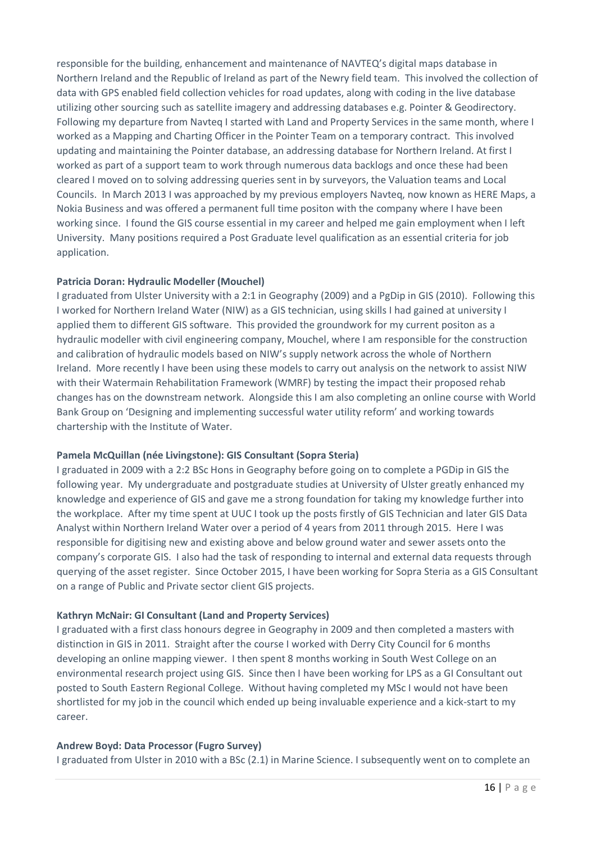responsible for the building, enhancement and maintenance of NAVTEQ's digital maps database in Northern Ireland and the Republic of Ireland as part of the Newry field team. This involved the collection of data with GPS enabled field collection vehicles for road updates, along with coding in the live database utilizing other sourcing such as satellite imagery and addressing databases e.g. Pointer & Geodirectory. Following my departure from Navteq I started with Land and Property Services in the same month, where I worked as a Mapping and Charting Officer in the Pointer Team on a temporary contract. This involved updating and maintaining the Pointer database, an addressing database for Northern Ireland. At first I worked as part of a support team to work through numerous data backlogs and once these had been cleared I moved on to solving addressing queries sent in by surveyors, the Valuation teams and Local Councils. In March 2013 I was approached by my previous employers Navteq, now known as HERE Maps, a Nokia Business and was offered a permanent full time positon with the company where I have been working since. I found the GIS course essential in my career and helped me gain employment when I left University. Many positions required a Post Graduate level qualification as an essential criteria for job application.

#### **Patricia Doran: Hydraulic Modeller (Mouchel)**

I graduated from Ulster University with a 2:1 in Geography (2009) and a PgDip in GIS (2010). Following this I worked for Northern Ireland Water (NIW) as a GIS technician, using skills I had gained at university I applied them to different GIS software. This provided the groundwork for my current positon as a hydraulic modeller with civil engineering company, Mouchel, where I am responsible for the construction and calibration of hydraulic models based on NIW's supply network across the whole of Northern Ireland. More recently I have been using these models to carry out analysis on the network to assist NIW with their Watermain Rehabilitation Framework (WMRF) by testing the impact their proposed rehab changes has on the downstream network. Alongside this I am also completing an online course with World Bank Group on 'Designing and implementing successful water utility reform' and working towards chartership with the Institute of Water.

#### **Pamela McQuillan (née Livingstone): GIS Consultant (Sopra Steria)**

I graduated in 2009 with a 2:2 BSc Hons in Geography before going on to complete a PGDip in GIS the following year. My undergraduate and postgraduate studies at University of Ulster greatly enhanced my knowledge and experience of GIS and gave me a strong foundation for taking my knowledge further into the workplace. After my time spent at UUC I took up the posts firstly of GIS Technician and later GIS Data Analyst within Northern Ireland Water over a period of 4 years from 2011 through 2015. Here I was responsible for digitising new and existing above and below ground water and sewer assets onto the company's corporate GIS. I also had the task of responding to internal and external data requests through querying of the asset register. Since October 2015, I have been working for Sopra Steria as a GIS Consultant on a range of Public and Private sector client GIS projects.

#### **Kathryn McNair: GI Consultant (Land and Property Services)**

I graduated with a first class honours degree in Geography in 2009 and then completed a masters with distinction in GIS in 2011. Straight after the course I worked with Derry City Council for 6 months developing an online mapping viewer. I then spent 8 months working in South West College on an environmental research project using GIS. Since then I have been working for LPS as a GI Consultant out posted to South Eastern Regional College. Without having completed my MSc I would not have been shortlisted for my job in the council which ended up being invaluable experience and a kick-start to my career.

#### **Andrew Boyd: Data Processor (Fugro Survey)**

I graduated from Ulster in 2010 with a BSc (2.1) in Marine Science. I subsequently went on to complete an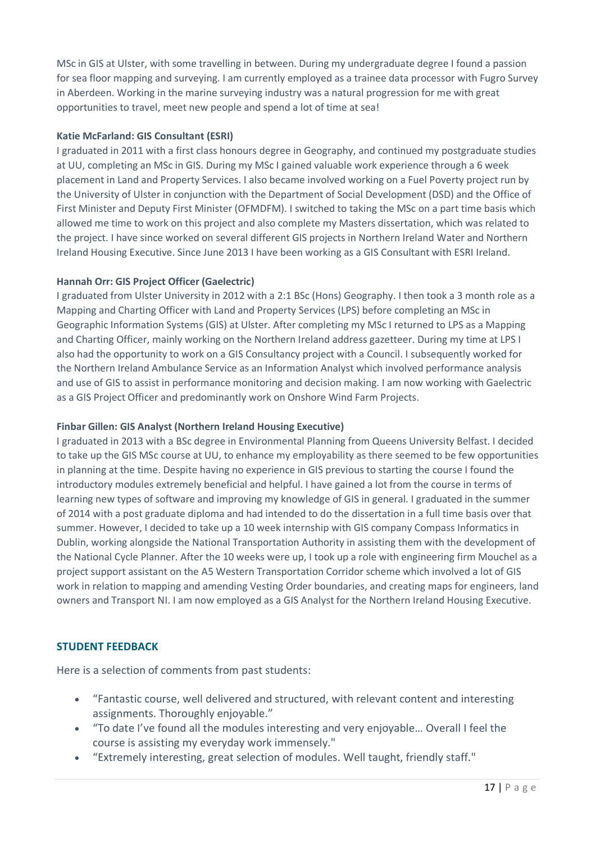MSc in GIS at Ulster, with some travelling in between. During my undergraduate degree I found a passion for sea floor mapping and surveying. I am currently employed as a trainee data processor with Fugro Survey in Aberdeen. Working in the marine surveying industry was a natural progression for me with great opportunities to travel, meet new people and spend a lot of time at sea!

### **Katie McFarland: GIS Consultant (ESRI)**

I graduated in 2011 with a first class honours degree in Geography, and continued my postgraduate studies at UU, completing an MSc in GIS. During my MSc I gained valuable work experience through a 6 week placement in Land and Property Services. I also became involved working on a Fuel Poverty project run by the University of Ulster in conjunction with the Department of Social Development (DSD) and the Office of First Minister and Deputy First Minister (OFMDFM). I switched to taking the MSc on a part time basis which allowed me time to work on this project and also complete my Masters dissertation, which was related to the project. I have since worked on several different GIS projects in Northern Ireland Water and Northern Ireland Housing Executive. Since June 2013 I have been working as a GIS Consultant with ESRI Ireland.

### **Hannah Orr: GIS Project Officer (Gaelectric)**

I graduated from Ulster University in 2012 with a 2:1 BSc (Hons) Geography. I then took a 3 month role as a Mapping and Charting Officer with Land and Property Services (LPS) before completing an MSc in Geographic Information Systems (GIS) at Ulster. After completing my MSc I returned to LPS as a Mapping and Charting Officer, mainly working on the Northern Ireland address gazetteer. During my time at LPS I also had the opportunity to work on a GIS Consultancy project with a Council. I subsequently worked for the Northern Ireland Ambulance Service as an Information Analyst which involved performance analysis and use of GIS to assist in performance monitoring and decision making. I am now working with Gaelectric as a GIS Project Officer and predominantly work on Onshore Wind Farm Projects.

### **Finbar Gillen: GIS Analyst (Northern Ireland Housing Executive)**

I graduated in 2013 with a BSc degree in Environmental Planning from Queens University Belfast. I decided to take up the GIS MSc course at UU, to enhance my employability as there seemed to be few opportunities in planning at the time. Despite having no experience in GIS previous to starting the course I found the introductory modules extremely beneficial and helpful. I have gained a lot from the course in terms of learning new types of software and improving my knowledge of GIS in general. I graduated in the summer of 2014 with a post graduate diploma and had intended to do the dissertation in a full time basis over that summer. However, I decided to take up a 10 week internship with GIS company Compass Informatics in Dublin, working alongside the National Transportation Authority in assisting them with the development of the National Cycle Planner. After the 10 weeks were up, I took up a role with engineering firm Mouchel as a project support assistant on the A5 Western Transportation Corridor scheme which involved a lot of GIS work in relation to mapping and amending Vesting Order boundaries, and creating maps for engineers, land owners and Transport NI. I am now employed as a GIS Analyst for the Northern Ireland Housing Executive.

### <span id="page-16-0"></span>**STUDENT FEEDBACK**

Here is a selection of comments from past students:

- "Fantastic course, well delivered and structured, with relevant content and interesting assignments. Thoroughly enjoyable."
- "To date I've found all the modules interesting and very enjoyable… Overall I feel the course is assisting my everyday work immensely."
- "Extremely interesting, great selection of modules. Well taught, friendly staff."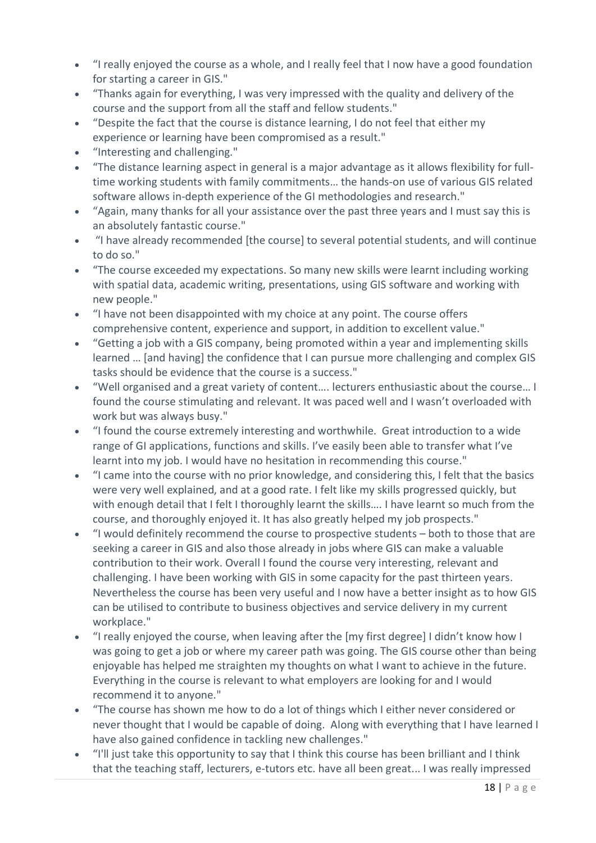- "I really enjoyed the course as a whole, and I really feel that I now have a good foundation for starting a career in GIS."
- "Thanks again for everything, I was very impressed with the quality and delivery of the course and the support from all the staff and fellow students."
- "Despite the fact that the course is distance learning, I do not feel that either my experience or learning have been compromised as a result."
- "Interesting and challenging."
- "The distance learning aspect in general is a major advantage as it allows flexibility for fulltime working students with family commitments… the hands-on use of various GIS related software allows in-depth experience of the GI methodologies and research."
- "Again, many thanks for all your assistance over the past three years and I must say this is an absolutely fantastic course."
- "I have already recommended [the course] to several potential students, and will continue to do so."
- "The course exceeded my expectations. So many new skills were learnt including working with spatial data, academic writing, presentations, using GIS software and working with new people."
- "I have not been disappointed with my choice at any point. The course offers comprehensive content, experience and support, in addition to excellent value."
- "Getting a job with a GIS company, being promoted within a year and implementing skills learned … [and having] the confidence that I can pursue more challenging and complex GIS tasks should be evidence that the course is a success."
- "Well organised and a great variety of content…. lecturers enthusiastic about the course… I found the course stimulating and relevant. It was paced well and I wasn't overloaded with work but was always busy."
- "I found the course extremely interesting and worthwhile. Great introduction to a wide range of GI applications, functions and skills. I've easily been able to transfer what I've learnt into my job. I would have no hesitation in recommending this course."
- "I came into the course with no prior knowledge, and considering this, I felt that the basics were very well explained, and at a good rate. I felt like my skills progressed quickly, but with enough detail that I felt I thoroughly learnt the skills.... I have learnt so much from the course, and thoroughly enjoyed it. It has also greatly helped my job prospects."
- "I would definitely recommend the course to prospective students both to those that are seeking a career in GIS and also those already in jobs where GIS can make a valuable contribution to their work. Overall I found the course very interesting, relevant and challenging. I have been working with GIS in some capacity for the past thirteen years. Nevertheless the course has been very useful and I now have a better insight as to how GIS can be utilised to contribute to business objectives and service delivery in my current workplace."
- "I really enjoyed the course, when leaving after the [my first degree] I didn't know how I was going to get a job or where my career path was going. The GIS course other than being enjoyable has helped me straighten my thoughts on what I want to achieve in the future. Everything in the course is relevant to what employers are looking for and I would recommend it to anyone."
- "The course has shown me how to do a lot of things which I either never considered or never thought that I would be capable of doing. Along with everything that I have learned I have also gained confidence in tackling new challenges."
- "I'll just take this opportunity to say that I think this course has been brilliant and I think that the teaching staff, lecturers, e-tutors etc. have all been great... I was really impressed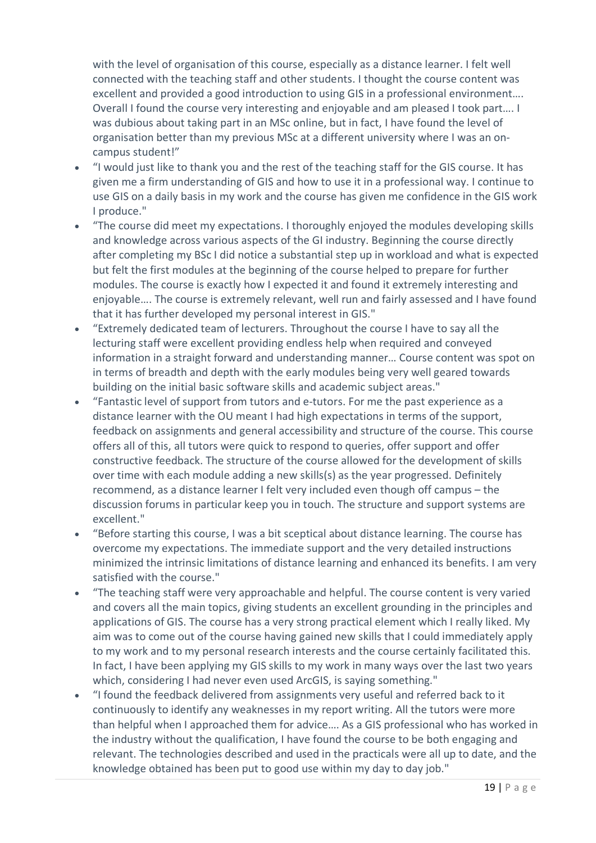with the level of organisation of this course, especially as a distance learner. I felt well connected with the teaching staff and other students. I thought the course content was excellent and provided a good introduction to using GIS in a professional environment…. Overall I found the course very interesting and enjoyable and am pleased I took part…. I was dubious about taking part in an MSc online, but in fact, I have found the level of organisation better than my previous MSc at a different university where I was an oncampus student!"

- "I would just like to thank you and the rest of the teaching staff for the GIS course. It has given me a firm understanding of GIS and how to use it in a professional way. I continue to use GIS on a daily basis in my work and the course has given me confidence in the GIS work I produce."
- "The course did meet my expectations. I thoroughly enjoyed the modules developing skills and knowledge across various aspects of the GI industry. Beginning the course directly after completing my BSc I did notice a substantial step up in workload and what is expected but felt the first modules at the beginning of the course helped to prepare for further modules. The course is exactly how I expected it and found it extremely interesting and enjoyable…. The course is extremely relevant, well run and fairly assessed and I have found that it has further developed my personal interest in GIS."
- "Extremely dedicated team of lecturers. Throughout the course I have to say all the lecturing staff were excellent providing endless help when required and conveyed information in a straight forward and understanding manner… Course content was spot on in terms of breadth and depth with the early modules being very well geared towards building on the initial basic software skills and academic subject areas."
- "Fantastic level of support from tutors and e-tutors. For me the past experience as a distance learner with the OU meant I had high expectations in terms of the support, feedback on assignments and general accessibility and structure of the course. This course offers all of this, all tutors were quick to respond to queries, offer support and offer constructive feedback. The structure of the course allowed for the development of skills over time with each module adding a new skills(s) as the year progressed. Definitely recommend, as a distance learner I felt very included even though off campus – the discussion forums in particular keep you in touch. The structure and support systems are excellent."
- "Before starting this course, I was a bit sceptical about distance learning. The course has overcome my expectations. The immediate support and the very detailed instructions minimized the intrinsic limitations of distance learning and enhanced its benefits. I am very satisfied with the course."
- "The teaching staff were very approachable and helpful. The course content is very varied and covers all the main topics, giving students an excellent grounding in the principles and applications of GIS. The course has a very strong practical element which I really liked. My aim was to come out of the course having gained new skills that I could immediately apply to my work and to my personal research interests and the course certainly facilitated this. In fact, I have been applying my GIS skills to my work in many ways over the last two years which, considering I had never even used ArcGIS, is saying something."
- "I found the feedback delivered from assignments very useful and referred back to it continuously to identify any weaknesses in my report writing. All the tutors were more than helpful when I approached them for advice…. As a GIS professional who has worked in the industry without the qualification, I have found the course to be both engaging and relevant. The technologies described and used in the practicals were all up to date, and the knowledge obtained has been put to good use within my day to day job."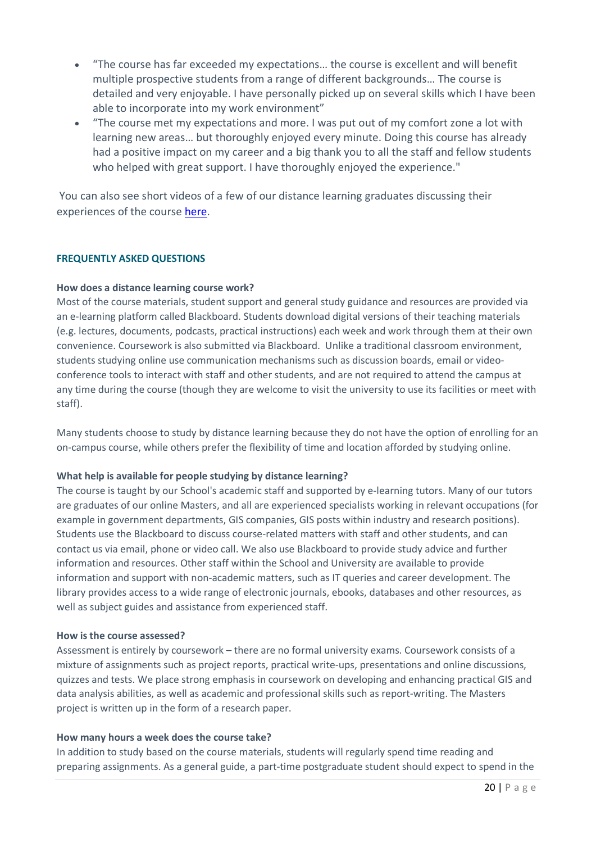- "The course has far exceeded my expectations… the course is excellent and will benefit multiple prospective students from a range of different backgrounds… The course is detailed and very enjoyable. I have personally picked up on several skills which I have been able to incorporate into my work environment"
- "The course met my expectations and more. I was put out of my comfort zone a lot with learning new areas… but thoroughly enjoyed every minute. Doing this course has already had a positive impact on my career and a big thank you to all the staff and fellow students who helped with great support. I have thoroughly enjoyed the experience."

You can also see short videos of a few of our distance learning graduates discussing their experiences of the course [here.](https://www.youtube.com/playlist?list=PL2gcjraVaFFwab0qMCMzj8pthOtJrc1Nd)

#### <span id="page-19-0"></span>**FREQUENTLY ASKED QUESTIONS**

#### **How does a distance learning course work?**

Most of the course materials, student support and general study guidance and resources are provided via an e-learning platform called Blackboard. Students download digital versions of their teaching materials (e.g. lectures, documents, podcasts, practical instructions) each week and work through them at their own convenience. Coursework is also submitted via Blackboard. Unlike a traditional classroom environment, students studying online use communication mechanisms such as discussion boards, email or videoconference tools to interact with staff and other students, and are not required to attend the campus at any time during the course (though they are welcome to visit the university to use its facilities or meet with staff).

Many students choose to study by distance learning because they do not have the option of enrolling for an on-campus course, while others prefer the flexibility of time and location afforded by studying online.

#### **What help is available for people studying by distance learning?**

The course is taught by our School's academic staff and supported by e-learning tutors. Many of our tutors are graduates of our online Masters, and all are experienced specialists working in relevant occupations (for example in government departments, GIS companies, GIS posts within industry and research positions). Students use the Blackboard to discuss course-related matters with staff and other students, and can contact us via email, phone or video call. We also use Blackboard to provide study advice and further information and resources. Other staff within the School and University are available to provide information and support with non-academic matters, such as IT queries and career development. The library provides access to a wide range of electronic journals, ebooks, databases and other resources, as well as subject guides and assistance from experienced staff.

#### **How is the course assessed?**

Assessment is entirely by coursework – there are no formal university exams. Coursework consists of a mixture of assignments such as project reports, practical write-ups, presentations and online discussions, quizzes and tests. We place strong emphasis in coursework on developing and enhancing practical GIS and data analysis abilities, as well as academic and professional skills such as report-writing. The Masters project is written up in the form of a research paper.

#### **How many hours a week does the course take?**

In addition to study based on the course materials, students will regularly spend time reading and preparing assignments. As a general guide, a part-time postgraduate student should expect to spend in the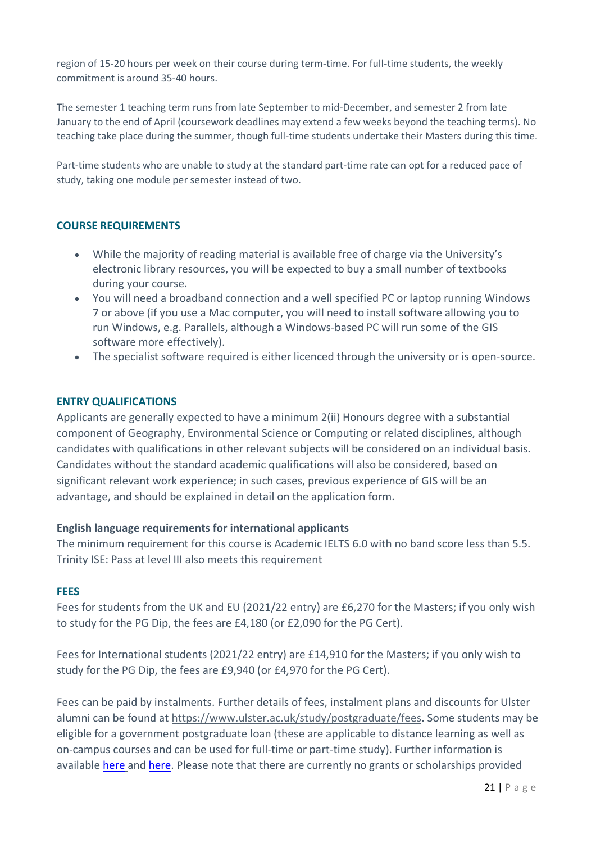region of 15-20 hours per week on their course during term-time. For full-time students, the weekly commitment is around 35-40 hours.

The semester 1 teaching term runs from late September to mid-December, and semester 2 from late January to the end of April (coursework deadlines may extend a few weeks beyond the teaching terms). No teaching take place during the summer, though full-time students undertake their Masters during this time.

Part-time students who are unable to study at the standard part-time rate can opt for a reduced pace of study, taking one module per semester instead of two.

# <span id="page-20-0"></span>**COURSE REQUIREMENTS**

- While the majority of reading material is available free of charge via the University's electronic library resources, you will be expected to buy a small number of textbooks during your course.
- You will need a broadband connection and a well specified PC or laptop running Windows 7 or above (if you use a Mac computer, you will need to install software allowing you to run Windows, e.g. Parallels, although a Windows-based PC will run some of the GIS software more effectively).
- The specialist software required is either licenced through the university or is open-source.

### <span id="page-20-1"></span>**ENTRY QUALIFICATIONS**

Applicants are generally expected to have a minimum 2(ii) Honours degree with a substantial component of Geography, Environmental Science or Computing or related disciplines, although candidates with qualifications in other relevant subjects will be considered on an individual basis. Candidates without the standard academic qualifications will also be considered, based on significant relevant work experience; in such cases, previous experience of GIS will be an advantage, and should be explained in detail on the application form.

#### **English language requirements for international applicants**

The minimum requirement for this course is Academic IELTS 6.0 with no band score less than 5.5. Trinity ISE: Pass at level III also meets this requirement

#### <span id="page-20-2"></span>**FEES**

Fees for students from the UK and EU (2021/22 entry) are £6,270 for the Masters; if you only wish to study for the PG Dip, the fees are £4,180 (or £2,090 for the PG Cert).

Fees for International students (2021/22 entry) are £14,910 for the Masters; if you only wish to study for the PG Dip, the fees are £9,940 (or £4,970 for the PG Cert).

Fees can be paid by instalments. Further details of fees, instalment plans and discounts for Ulster alumni can be found at [https://www.ulster.ac.uk/study/postgraduate/fees.](https://www.ulster.ac.uk/study/postgraduate/fees) Some students may be eligible for a government postgraduate loan (these are applicable to distance learning as well as on-campus courses and can be used for full-time or part-time study). Further information is available [here](https://www.ulster.ac.uk/study/postgraduate/funding) and [here.](https://www.findamasters.com/funding/guides/masters-loans.aspx) Please note that there are currently no grants or scholarships provided